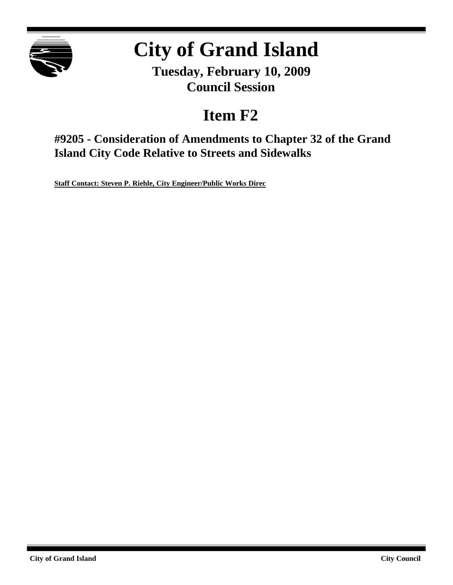

# **City of Grand Island**

**Tuesday, February 10, 2009 Council Session**

## **Item F2**

**#9205 - Consideration of Amendments to Chapter 32 of the Grand Island City Code Relative to Streets and Sidewalks**

**Staff Contact: Steven P. Riehle, City Engineer/Public Works Direc**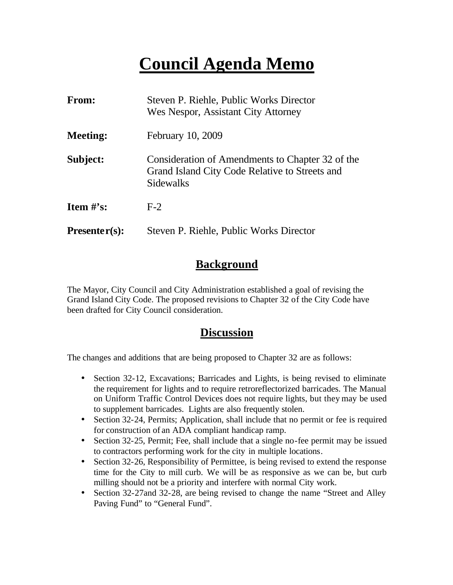## **Council Agenda Memo**

| <b>From:</b>    | Steven P. Riehle, Public Works Director<br>Wes Nespor, Assistant City Attorney                                  |
|-----------------|-----------------------------------------------------------------------------------------------------------------|
| <b>Meeting:</b> | February 10, 2009                                                                                               |
| Subject:        | Consideration of Amendments to Chapter 32 of the<br>Grand Island City Code Relative to Streets and<br>Sidewalks |
| Item $\#$ 's:   | $F-2$                                                                                                           |
| $Presenter(s):$ | Steven P. Riehle, Public Works Director                                                                         |

## **Background**

The Mayor, City Council and City Administration established a goal of revising the Grand Island City Code. The proposed revisions to Chapter 32 of the City Code have been drafted for City Council consideration.

## **Discussion**

The changes and additions that are being proposed to Chapter 32 are as follows:

- Section 32-12, Excavations; Barricades and Lights, is being revised to eliminate the requirement for lights and to require retroreflectorized barricades. The Manual on Uniform Traffic Control Devices does not require lights, but they may be used to supplement barricades. Lights are also frequently stolen.
- Section 32-24, Permits; Application, shall include that no permit or fee is required for construction of an ADA compliant handicap ramp.
- Section 32-25, Permit; Fee, shall include that a single no-fee permit may be issued to contractors performing work for the city in multiple locations.
- Section 32-26, Responsibility of Permittee, is being revised to extend the response time for the City to mill curb. We will be as responsive as we can be, but curb milling should not be a priority and interfere with normal City work.
- Section 32-27and 32-28, are being revised to change the name "Street and Alley" Paving Fund" to "General Fund".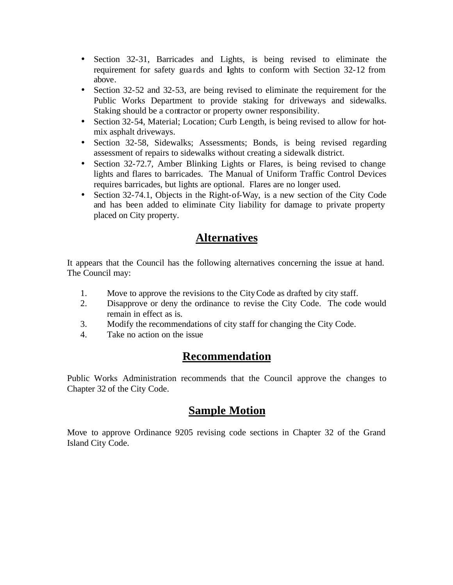- Section 32-31, Barricades and Lights, is being revised to eliminate the requirement for safety guards and lights to conform with Section 32-12 from above.
- Section 32-52 and 32-53, are being revised to eliminate the requirement for the Public Works Department to provide staking for driveways and sidewalks. Staking should be a contractor or property owner responsibility.
- Section 32-54, Material; Location; Curb Length, is being revised to allow for hotmix asphalt driveways.
- Section 32-58, Sidewalks; Assessments; Bonds, is being revised regarding assessment of repairs to sidewalks without creating a sidewalk district.
- Section 32-72.7, Amber Blinking Lights or Flares, is being revised to change lights and flares to barricades. The Manual of Uniform Traffic Control Devices requires barricades, but lights are optional. Flares are no longer used.
- Section 32-74.1, Objects in the Right-of-Way, is a new section of the City Code and has been added to eliminate City liability for damage to private property placed on City property.

## **Alternatives**

It appears that the Council has the following alternatives concerning the issue at hand. The Council may:

- 1. Move to approve the revisions to the City Code as drafted by city staff.
- 2. Disapprove or deny the ordinance to revise the City Code. The code would remain in effect as is.
- 3. Modify the recommendations of city staff for changing the City Code.
- 4. Take no action on the issue

## **Recommendation**

Public Works Administration recommends that the Council approve the changes to Chapter 32 of the City Code.

## **Sample Motion**

Move to approve Ordinance 9205 revising code sections in Chapter 32 of the Grand Island City Code.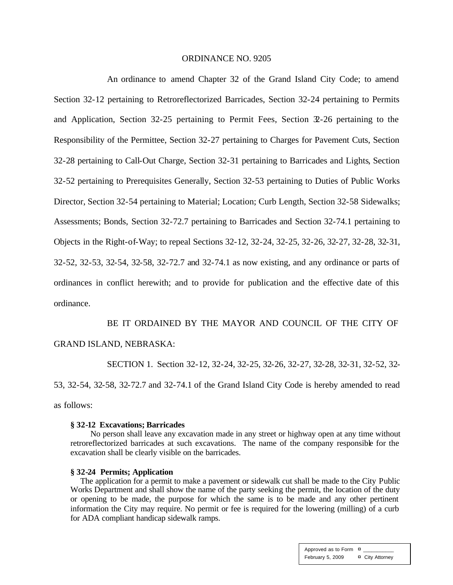#### ORDINANCE NO. 9205

An ordinance to amend Chapter 32 of the Grand Island City Code; to amend Section 32-12 pertaining to Retroreflectorized Barricades, Section 32-24 pertaining to Permits and Application, Section 32-25 pertaining to Permit Fees, Section  $\mathfrak{D}$ -26 pertaining to the Responsibility of the Permittee, Section 32-27 pertaining to Charges for Pavement Cuts, Section 32-28 pertaining to Call-Out Charge, Section 32-31 pertaining to Barricades and Lights, Section 32-52 pertaining to Prerequisites Generally, Section 32-53 pertaining to Duties of Public Works Director, Section 32-54 pertaining to Material; Location; Curb Length, Section 32-58 Sidewalks; Assessments; Bonds, Section 32-72.7 pertaining to Barricades and Section 32-74.1 pertaining to Objects in the Right-of-Way; to repeal Sections 32-12, 32-24, 32-25, 32-26, 32-27, 32-28, 32-31, 32-52, 32-53, 32-54, 32-58, 32-72.7 and 32-74.1 as now existing, and any ordinance or parts of ordinances in conflict herewith; and to provide for publication and the effective date of this ordinance.

BE IT ORDAINED BY THE MAYOR AND COUNCIL OF THE CITY OF GRAND ISLAND, NEBRASKA:

SECTION 1. Section 32-12, 32-24, 32-25, 32-26, 32-27, 32-28, 32-31, 32-52, 32- 53, 32-54, 32-58, 32-72.7 and 32-74.1 of the Grand Island City Code is hereby amended to read as follows:

#### **§ 32-12 Excavations; Barricades**

No person shall leave any excavation made in any street or highway open at any time without retroreflectorized barricades at such excavations. The name of the company responsible for the excavation shall be clearly visible on the barricades.

#### **§ 32-24 Permits; Application**

The application for a permit to make a pavement or sidewalk cut shall be made to the City Public Works Department and shall show the name of the party seeking the permit, the location of the duty or opening to be made, the purpose for which the same is to be made and any other pertinent information the City may require. No permit or fee is required for the lowering (milling) of a curb for ADA compliant handicap sidewalk ramps.

> Approved as to Form  $\overline{a}$ February 5, 2009 ¤ City Attorney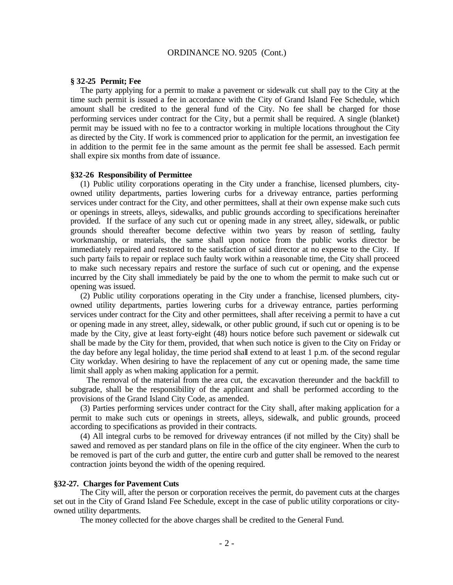#### **§ 32-25 Permit; Fee**

The party applying for a permit to make a pavement or sidewalk cut shall pay to the City at the time such permit is issued a fee in accordance with the City of Grand Island Fee Schedule, which amount shall be credited to the general fund of the City. No fee shall be charged for those performing services under contract for the City, but a permit shall be required. A single (blanket) permit may be issued with no fee to a contractor working in multiple locations throughout the City as directed by the City. If work is commenced prior to application for the permit, an investigation fee in addition to the permit fee in the same amount as the permit fee shall be assessed. Each permit shall expire six months from date of issuance.

#### **§32-26 Responsibility of Permittee**

(1) Public utility corporations operating in the City under a franchise, licensed plumbers, cityowned utility departments, parties lowering curbs for a driveway entrance, parties performing services under contract for the City, and other permittees, shall at their own expense make such cuts or openings in streets, alleys, sidewalks, and public grounds according to specifications hereinafter provided. If the surface of any such cut or opening made in any street, alley, sidewalk, or public grounds should thereafter become defective within two years by reason of settling, faulty workmanship, or materials, the same shall upon notice from the public works director be immediately repaired and restored to the satisfaction of said director at no expense to the City. If such party fails to repair or replace such faulty work within a reasonable time, the City shall proceed to make such necessary repairs and restore the surface of such cut or opening, and the expense incurred by the City shall immediately be paid by the one to whom the permit to make such cut or opening was issued.

(2) Public utility corporations operating in the City under a franchise, licensed plumbers, cityowned utility departments, parties lowering curbs for a driveway entrance, parties performing services under contract for the City and other permittees, shall after receiving a permit to have a cut or opening made in any street, alley, sidewalk, or other public ground, if such cut or opening is to be made by the City, give at least forty-eight (48) hours notice before such pavement or sidewalk cut shall be made by the City for them, provided, that when such notice is given to the City on Friday or the day before any legal holiday, the time period shall extend to at least 1 p.m. of the second regular City workday. When desiring to have the replacement of any cut or opening made, the same time limit shall apply as when making application for a permit.

 The removal of the material from the area cut, the excavation thereunder and the backfill to subgrade, shall be the responsibility of the applicant and shall be performed according to the provisions of the Grand Island City Code, as amended.

(3) Parties performing services under contract for the City shall, after making application for a permit to make such cuts or openings in streets, alleys, sidewalk, and public grounds, proceed according to specifications as provided in their contracts.

(4) All integral curbs to be removed for driveway entrances (if not milled by the City) shall be sawed and removed as per standard plans on file in the office of the city engineer. When the curb to be removed is part of the curb and gutter, the entire curb and gutter shall be removed to the nearest contraction joints beyond the width of the opening required.

#### **§32-27. Charges for Pavement Cuts**

The City will, after the person or corporation receives the permit, do pavement cuts at the charges set out in the City of Grand Island Fee Schedule, except in the case of public utility corporations or cityowned utility departments.

The money collected for the above charges shall be credited to the General Fund.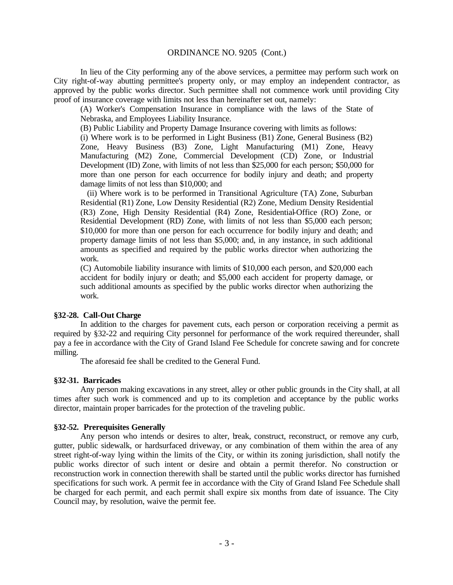In lieu of the City performing any of the above services, a permittee may perform such work on City right-of-way abutting permittee's property only, or may employ an independent contractor, as approved by the public works director. Such permittee shall not commence work until providing City proof of insurance coverage with limits not less than hereinafter set out, namely:

(A) Worker's Compensation Insurance in compliance with the laws of the State of Nebraska, and Employees Liability Insurance.

(B) Public Liability and Property Damage Insurance covering with limits as follows:

(i) Where work is to be performed in Light Business (B1) Zone, General Business (B2) Zone, Heavy Business (B3) Zone, Light Manufacturing (M1) Zone, Heavy Manufacturing (M2) Zone, Commercial Development (CD) Zone, or Industrial Development (ID) Zone, with limits of not less than \$25,000 for each person; \$50,000 for more than one person for each occurrence for bodily injury and death; and property damage limits of not less than \$10,000; and

 (ii) Where work is to be performed in Transitional Agriculture (TA) Zone, Suburban Residential (R1) Zone, Low Density Residential (R2) Zone, Medium Density Residential (R3) Zone, High Density Residential (R4) Zone, Residential-Office (RO) Zone, or Residential Development (RD) Zone, with limits of not less than \$5,000 each person; \$10,000 for more than one person for each occurrence for bodily injury and death; and property damage limits of not less than \$5,000; and, in any instance, in such additional amounts as specified and required by the public works director when authorizing the work.

(C) Automobile liability insurance with limits of \$10,000 each person, and \$20,000 each accident for bodily injury or death; and \$5,000 each accident for property damage, or such additional amounts as specified by the public works director when authorizing the work.

#### **§32-28. Call-Out Charge**

In addition to the charges for pavement cuts, each person or corporation receiving a permit as required by §32-22 and requiring City personnel for performance of the work required thereunder, shall pay a fee in accordance with the City of Grand Island Fee Schedule for concrete sawing and for concrete milling.

The aforesaid fee shall be credited to the General Fund.

#### **§32-31. Barricades**

Any person making excavations in any street, alley or other public grounds in the City shall, at all times after such work is commenced and up to its completion and acceptance by the public works director, maintain proper barricades for the protection of the traveling public.

#### **§32-52. Prerequisites Generally**

Any person who intends or desires to alter, break, construct, reconstruct, or remove any curb, gutter, public sidewalk, or hardsurfaced driveway, or any combination of them within the area of any street right-of-way lying within the limits of the City, or within its zoning jurisdiction, shall notify the public works director of such intent or desire and obtain a permit therefor. No construction or reconstruction work in connection therewith shall be started until the public works director has furnished specifications for such work. A permit fee in accordance with the City of Grand Island Fee Schedule shall be charged for each permit, and each permit shall expire six months from date of issuance. The City Council may, by resolution, waive the permit fee.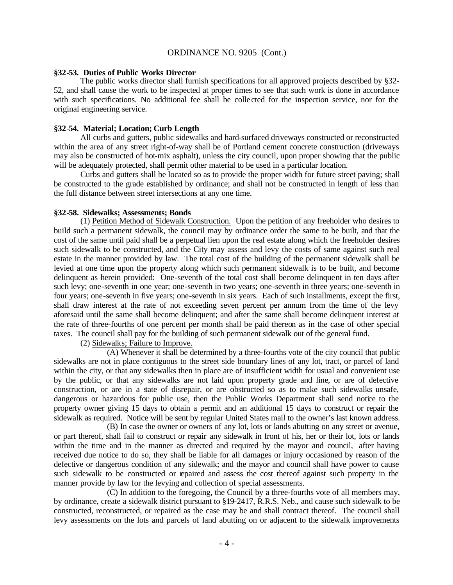#### **§32-53. Duties of Public Works Director**

The public works director shall furnish specifications for all approved projects described by §32- 52, and shall cause the work to be inspected at proper times to see that such work is done in accordance with such specifications. No additional fee shall be colle cted for the inspection service, nor for the original engineering service.

#### **§32-54. Material; Location; Curb Length**

All curbs and gutters, public sidewalks and hard-surfaced driveways constructed or reconstructed within the area of any street right-of-way shall be of Portland cement concrete construction (driveways may also be constructed of hot-mix asphalt), unless the city council, upon proper showing that the public will be adequately protected, shall permit other material to be used in a particular location.

Curbs and gutters shall be located so as to provide the proper width for future street paving; shall be constructed to the grade established by ordinance; and shall not be constructed in length of less than the full distance between street intersections at any one time.

#### **§32-58. Sidewalks; Assessments; Bonds**

(1) Petition Method of Sidewalk Construction. Upon the petition of any freeholder who desires to build such a permanent sidewalk, the council may by ordinance order the same to be built, and that the cost of the same until paid shall be a perpetual lien upon the real estate along which the freeholder desires such sidewalk to be constructed, and the City may assess and levy the costs of same against such real estate in the manner provided by law. The total cost of the building of the permanent sidewalk shall be levied at one time upon the property along which such permanent sidewalk is to be built, and become delinquent as herein provided: One-seventh of the total cost shall become delinquent in ten days after such levy; one-seventh in one year; one-seventh in two years; one-seventh in three years; one-seventh in four years; one-seventh in five years; one-seventh in six years. Each of such installments, except the first, shall draw interest at the rate of not exceeding seven percent per annum from the time of the levy aforesaid until the same shall become delinquent; and after the same shall become delinquent interest at the rate of three-fourths of one percent per month shall be paid thereon as in the case of other special taxes. The council shall pay for the building of such permanent sidewalk out of the general fund.

(2) Sidewalks; Failure to Improve.

(A) Whenever it shall be determined by a three-fourths vote of the city council that public sidewalks are not in place contiguous to the street side boundary lines of any lot, tract, or parcel of land within the city, or that any sidewalks then in place are of insufficient width for usual and convenient use by the public, or that any sidewalks are not laid upon property grade and line, or are of defective construction, or are in a state of disrepair, or are obstructed so as to make such sidewalks unsafe, dangerous or hazardous for public use, then the Public Works Department shall send notice to the property owner giving 15 days to obtain a permit and an additional 15 days to construct or repair the sidewalk as required. Notice will be sent by regular United States mail to the owner's last known address.

(B) In case the owner or owners of any lot, lots or lands abutting on any street or avenue, or part thereof, shall fail to construct or repair any sidewalk in front of his, her or their lot, lots or lands within the time and in the manner as directed and required by the mayor and council, after having received due notice to do so, they shall be liable for all damages or injury occasioned by reason of the defective or dangerous condition of any sidewalk; and the mayor and council shall have power to cause such sidewalk to be constructed or repaired and assess the cost thereof against such property in the manner provide by law for the levying and collection of special assessments.

(C) In addition to the foregoing, the Council by a three-fourths vote of all members may, by ordinance, create a sidewalk district pursuant to §19-2417, R.R.S. Neb., and cause such sidewalk to be constructed, reconstructed, or repaired as the case may be and shall contract thereof. The council shall levy assessments on the lots and parcels of land abutting on or adjacent to the sidewalk improvements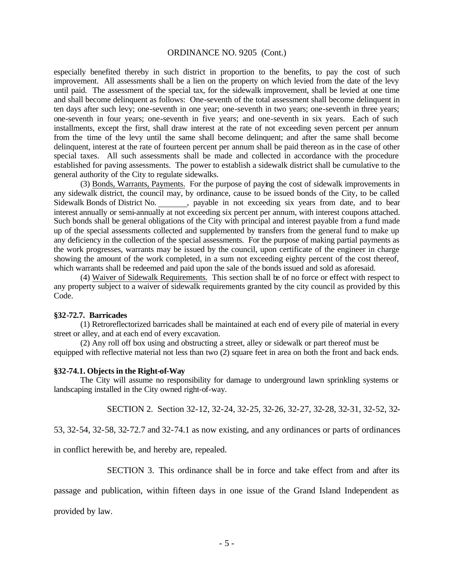especially benefited thereby in such district in proportion to the benefits, to pay the cost of such improvement. All assessments shall be a lien on the property on which levied from the date of the levy until paid. The assessment of the special tax, for the sidewalk improvement, shall be levied at one time and shall become delinquent as follows: One-seventh of the total assessment shall become delinquent in ten days after such levy; one-seventh in one year; one-seventh in two years; one-seventh in three years; one-seventh in four years; one-seventh in five years; and one-seventh in six years. Each of such installments, except the first, shall draw interest at the rate of not exceeding seven percent per annum from the time of the levy until the same shall become delinquent; and after the same shall become delinquent, interest at the rate of fourteen percent per annum shall be paid thereon as in the case of other special taxes. All such assessments shall be made and collected in accordance with the procedure established for paving assessments. The power to establish a sidewalk district shall be cumulative to the general authority of the City to regulate sidewalks.

(3) Bonds, Warrants, Payments. For the purpose of paying the cost of sidewalk improvements in any sidewalk district, the council may, by ordinance, cause to be issued bonds of the City, to be called Sidewalk Bonds of District No. , payable in not exceeding six years from date, and to bear interest annually or semi-annually at not exceeding six percent per annum, with interest coupons attached. Such bonds shall be general obligations of the City with principal and interest payable from a fund made up of the special assessments collected and supplemented by transfers from the general fund to make up any deficiency in the collection of the special assessments. For the purpose of making partial payments as the work progresses, warrants may be issued by the council, upon certificate of the engineer in charge showing the amount of the work completed, in a sum not exceeding eighty percent of the cost thereof, which warrants shall be redeemed and paid upon the sale of the bonds issued and sold as aforesaid.

(4) Waiver of Sidewalk Requirements. This section shall be of no force or effect with respect to any property subject to a waiver of sidewalk requirements granted by the city council as provided by this Code.

#### **§32-72.7. Barricades**

(1) Retroreflectorized barricades shall be maintained at each end of every pile of material in every street or alley, and at each end of every excavation.

(2) Any roll off box using and obstructing a street, alley or sidewalk or part thereof must be equipped with reflective material not less than two (2) square feet in area on both the front and back ends.

#### **§32-74.1. Objects in the Right-of-Way**

The City will assume no responsibility for damage to underground lawn sprinkling systems or landscaping installed in the City owned right-of-way.

SECTION 2. Section 32-12, 32-24, 32-25, 32-26, 32-27, 32-28, 32-31, 32-52, 32-

53, 32-54, 32-58, 32-72.7 and 32-74.1 as now existing, and any ordinances or parts of ordinances

in conflict herewith be, and hereby are, repealed.

SECTION 3. This ordinance shall be in force and take effect from and after its

passage and publication, within fifteen days in one issue of the Grand Island Independent as

provided by law.